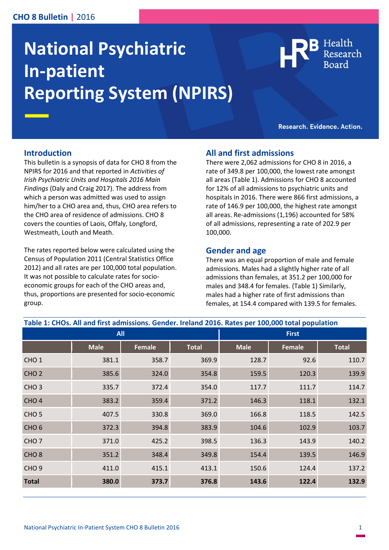#### **CHO 8 Bulletin |** 2016

# **National Psychiatric In-patient Reporting System (NPIRS)**

Health

Research. Evidence. Action.

#### **Introduction**

This bulletin is a synopsis of data for CHO 8 from the NPIRS for 2016 and that reported in *Activities of Irish Psychiatric Units and Hospitals 2016 Main Findings* (Daly and Craig 2017). The address from which a person was admitted was used to assign him/her to a CHO area and, thus, CHO area refers to the CHO area of residence of admissions. CHO 8 covers the counties of Laois, Offaly, Longford, Westmeath, Louth and Meath.

The rates reported below were calculated using the Census of Population 2011 (Central Statistics Office 2012) and all rates are per 100,000 total population. It was not possible to calculate rates for socioeconomic groups for each of the CHO areas and, thus, proportions are presented for socio-economic group.

#### **All and first admissions**

There were 2,062 admissions for CHO 8 in 2016, a rate of 349.8 per 100,000, the lowest rate amongst all areas (Table 1). Admissions for CHO 8 accounted for 12% of all admissions to psychiatric units and hospitals in 2016. There were 866 first admissions, a rate of 146.9 per 100,000, the highest rate amongst all areas. Re-admissions (1,196) accounted for 58% of all admissions, representing a rate of 202.9 per 100,000.

#### **Gender and age**

There was an equal proportion of male and female admissions. Males had a slightly higher rate of all admissions than females, at 351.2 per 100,000 for males and 348.4 for females. (Table 1) Similarly, males had a higher rate of first admissions than females, at 154.4 compared with 139.5 for females.

| Table 1: CHOs. All and first admissions. Gender. Ireland 2016. Rates per 100,000 total population |             |               |              |              |        |              |
|---------------------------------------------------------------------------------------------------|-------------|---------------|--------------|--------------|--------|--------------|
| <b>All</b>                                                                                        |             |               |              | <b>First</b> |        |              |
|                                                                                                   | <b>Male</b> | <b>Female</b> | <b>Total</b> | <b>Male</b>  | Female | <b>Total</b> |
| CHO <sub>1</sub>                                                                                  | 381.1       | 358.7         | 369.9        | 128.7        | 92.6   | 110.7        |
| CHO <sub>2</sub>                                                                                  | 385.6       | 324.0         | 354.8        | 159.5        | 120.3  | 139.9        |
| CHO <sub>3</sub>                                                                                  | 335.7       | 372.4         | 354.0        | 117.7        | 111.7  | 114.7        |
| CHO <sub>4</sub>                                                                                  | 383.2       | 359.4         | 371.2        | 146.3        | 118.1  | 132.1        |
| CHO <sub>5</sub>                                                                                  | 407.5       | 330.8         | 369.0        | 166.8        | 118.5  | 142.5        |
| CHO <sub>6</sub>                                                                                  | 372.3       | 394.8         | 383.9        | 104.6        | 102.9  | 103.7        |
| CHO <sub>7</sub>                                                                                  | 371.0       | 425.2         | 398.5        | 136.3        | 143.9  | 140.2        |
| CHO <sub>8</sub>                                                                                  | 351.2       | 348.4         | 349.8        | 154.4        | 139.5  | 146.9        |
| CHO <sub>9</sub>                                                                                  | 411.0       | 415.1         | 413.1        | 150.6        | 124.4  | 137.2        |
| <b>Total</b>                                                                                      | 380.0       | 373.7         | 376.8        | 143.6        | 122.4  | 132.9        |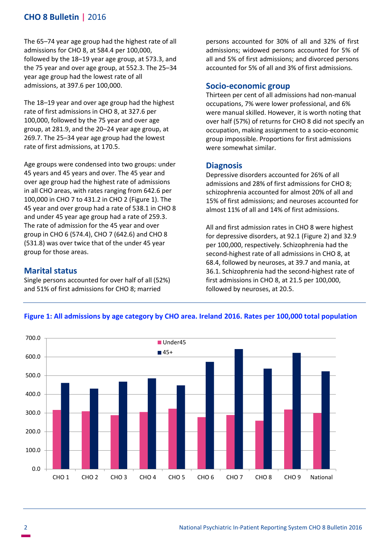## **CHO 8 Bulletin |** 2016

The 65–74 year age group had the highest rate of all admissions for CHO 8, at 584.4 per 100,000, followed by the 18–19 year age group, at 573.3, and the 75 year and over age group, at 552.3. The 25–34 year age group had the lowest rate of all admissions, at 397.6 per 100,000.

The 18–19 year and over age group had the highest rate of first admissions in CHO 8, at 327.6 per 100,000, followed by the 75 year and over age group, at 281.9, and the 20–24 year age group, at 269.7. The 25–34 year age group had the lowest rate of first admissions, at 170.5.

Age groups were condensed into two groups: under 45 years and 45 years and over. The 45 year and over age group had the highest rate of admissions in all CHO areas, with rates ranging from 642.6 per 100,000 in CHO 7 to 431.2 in CHO 2 (Figure 1). The 45 year and over group had a rate of 538.1 in CHO 8 and under 45 year age group had a rate of 259.3. The rate of admission for the 45 year and over group in CHO 6 (574.4), CHO 7 (642.6) and CHO 8 (531.8) was over twice that of the under 45 year group for those areas.

### **Marital status**

Single persons accounted for over half of all (52%) and 51% of first admissions for CHO 8; married

persons accounted for 30% of all and 32% of first admissions; widowed persons accounted for 5% of all and 5% of first admissions; and divorced persons accounted for 5% of all and 3% of first admissions.

#### **Socio-economic group**

Thirteen per cent of all admissions had non-manual occupations, 7% were lower professional, and 6% were manual skilled. However, it is worth noting that over half (57%) of returns for CHO 8 did not specify an occupation, making assignment to a socio-economic group impossible. Proportions for first admissions were somewhat similar.

#### **Diagnosis**

Depressive disorders accounted for 26% of all admissions and 28% of first admissions for CHO 8; schizophrenia accounted for almost 20% of all and 15% of first admissions; and neuroses accounted for almost 11% of all and 14% of first admissions.

All and first admission rates in CHO 8 were highest for depressive disorders, at 92.1 (Figure 2) and 32.9 per 100,000, respectively. Schizophrenia had the second-highest rate of all admissions in CHO 8, at 68.4, followed by neuroses, at 39.7 and mania, at 36.1. Schizophrenia had the second-highest rate of first admissions in CHO 8, at 21.5 per 100,000, followed by neuroses, at 20.5.



#### **Figure 1: All admissions by age category by CHO area. Ireland 2016. Rates per 100,000 total population**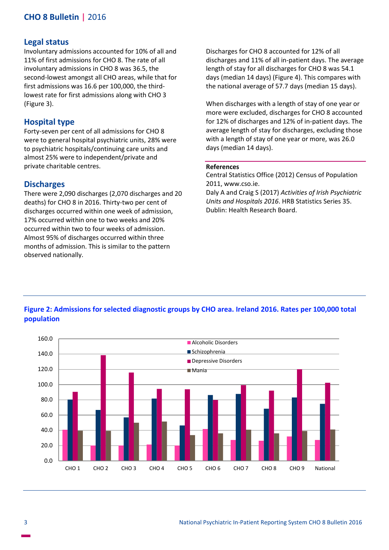## **CHO 8 Bulletin |** 2016

#### **Legal status**

Involuntary admissions accounted for 10% of all and 11% of first admissions for CHO 8. The rate of all involuntary admissions in CHO 8 was 36.5, the second-lowest amongst all CHO areas, while that for first admissions was 16.6 per 100,000, the thirdlowest rate for first admissions along with CHO 3 (Figure 3).

#### **Hospital type**

Forty-seven per cent of all admissions for CHO 8 were to general hospital psychiatric units, 28% were to psychiatric hospitals/continuing care units and almost 25% were to independent/private and private charitable centres.

#### **Discharges**

There were 2,090 discharges (2,070 discharges and 20 deaths) for CHO 8 in 2016. Thirty-two per cent of discharges occurred within one week of admission, 17% occurred within one to two weeks and 20% occurred within two to four weeks of admission. Almost 95% of discharges occurred within three months of admission. This is similar to the pattern observed nationally.

Discharges for CHO 8 accounted for 12% of all discharges and 11% of all in-patient days. The average length of stay for all discharges for CHO 8 was 54.1 days (median 14 days) (Figure 4). This compares with the national average of 57.7 days (median 15 days).

When discharges with a length of stay of one year or more were excluded, discharges for CHO 8 accounted for 12% of discharges and 12% of in-patient days. The average length of stay for discharges, excluding those with a length of stay of one year or more, was 26.0 days (median 14 days).

#### **References**

Central Statistics Office (2012) Census of Population 2011, www.cso.ie.

Daly A and Craig S (2017) *Activities of Irish Psychiatric Units and Hospitals 2016*. HRB Statistics Series 35. Dublin: Health Research Board.

#### **Figure 2: Admissions for selected diagnostic groups by CHO area. Ireland 2016. Rates per 100,000 total population**